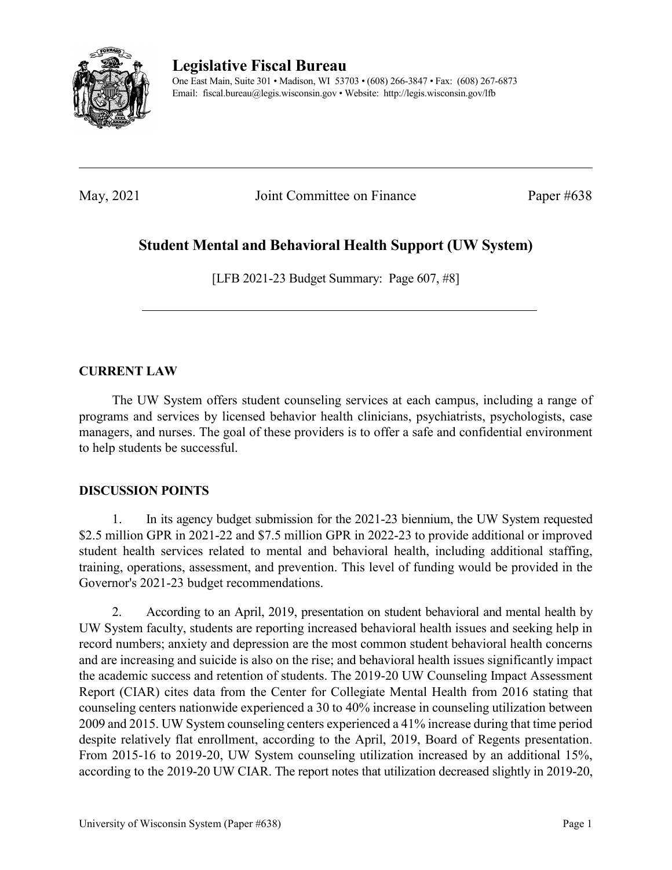

**Legislative Fiscal Bureau**

One East Main, Suite 301 • Madison, WI 53703 • (608) 266-3847 • Fax: (608) 267-6873 Email: fiscal.bureau@legis.wisconsin.gov • Website:<http://legis.wisconsin.gov/lfb>

May, 2021 Joint Committee on Finance Paper #638

# **Student Mental and Behavioral Health Support (UW System)**

[LFB 2021-23 Budget Summary: Page 607, #8]

## **CURRENT LAW**

The UW System offers student counseling services at each campus, including a range of programs and services by licensed behavior health clinicians, psychiatrists, psychologists, case managers, and nurses. The goal of these providers is to offer a safe and confidential environment to help students be successful.

### **DISCUSSION POINTS**

1. In its agency budget submission for the 2021-23 biennium, the UW System requested \$2.5 million GPR in 2021-22 and \$7.5 million GPR in 2022-23 to provide additional or improved student health services related to mental and behavioral health, including additional staffing, training, operations, assessment, and prevention. This level of funding would be provided in the Governor's 2021-23 budget recommendations.

2. According to an April, 2019, presentation on student behavioral and mental health by UW System faculty, students are reporting increased behavioral health issues and seeking help in record numbers; anxiety and depression are the most common student behavioral health concerns and are increasing and suicide is also on the rise; and behavioral health issues significantly impact the academic success and retention of students. The 2019-20 UW Counseling Impact Assessment Report (CIAR) cites data from the Center for Collegiate Mental Health from 2016 stating that counseling centers nationwide experienced a 30 to 40% increase in counseling utilization between 2009 and 2015. UW System counseling centers experienced a 41% increase during that time period despite relatively flat enrollment, according to the April, 2019, Board of Regents presentation. From 2015-16 to 2019-20, UW System counseling utilization increased by an additional 15%, according to the 2019-20 UW CIAR. The report notes that utilization decreased slightly in 2019-20,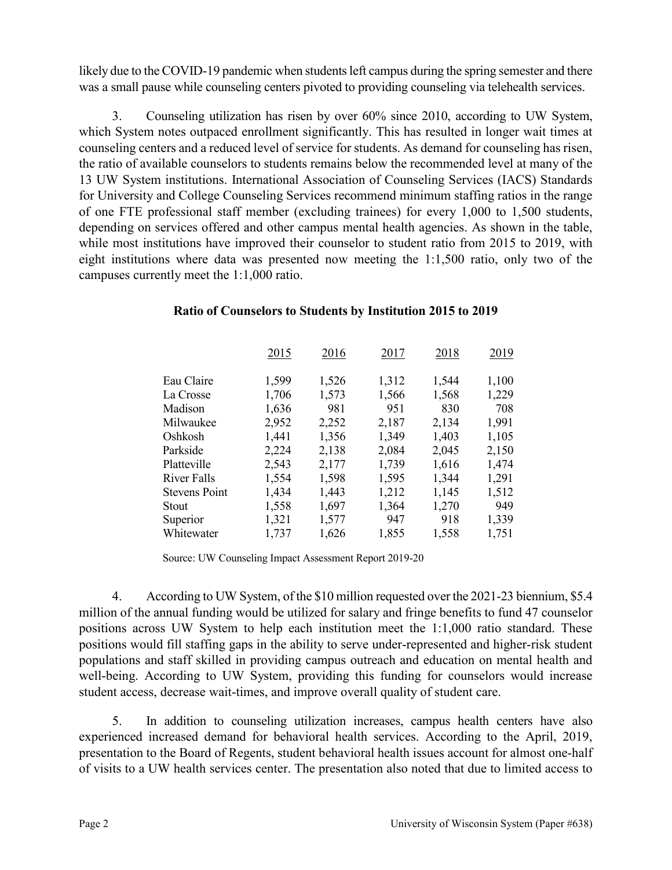likely due to the COVID-19 pandemic when students left campus during the spring semester and there was a small pause while counseling centers pivoted to providing counseling via telehealth services.

3. Counseling utilization has risen by over 60% since 2010, according to UW System, which System notes outpaced enrollment significantly. This has resulted in longer wait times at counseling centers and a reduced level of service for students. As demand for counseling has risen, the ratio of available counselors to students remains below the recommended level at many of the 13 UW System institutions. International Association of Counseling Services (IACS) Standards for University and College Counseling Services recommend minimum staffing ratios in the range of one FTE professional staff member (excluding trainees) for every 1,000 to 1,500 students, depending on services offered and other campus mental health agencies. As shown in the table, while most institutions have improved their counselor to student ratio from 2015 to 2019, with eight institutions where data was presented now meeting the 1:1,500 ratio, only two of the campuses currently meet the 1:1,000 ratio.

|                      | 2015  | 2016  | 2017  | 2018  | 2019  |
|----------------------|-------|-------|-------|-------|-------|
| Eau Claire           | 1,599 | 1,526 | 1,312 | 1,544 | 1,100 |
| La Crosse            | 1,706 | 1,573 | 1,566 | 1,568 | 1,229 |
| Madison              | 1,636 | 981   | 951   | 830   | 708   |
| Milwaukee            | 2,952 | 2,252 | 2,187 | 2,134 | 1,991 |
| Oshkosh              | 1,441 | 1,356 | 1,349 | 1,403 | 1,105 |
| Parkside             | 2,224 | 2,138 | 2,084 | 2,045 | 2,150 |
| Platteville          | 2,543 | 2,177 | 1,739 | 1,616 | 1,474 |
| River Falls          | 1,554 | 1,598 | 1,595 | 1,344 | 1,291 |
| <b>Stevens Point</b> | 1,434 | 1,443 | 1,212 | 1,145 | 1,512 |
| Stout                | 1,558 | 1,697 | 1,364 | 1,270 | 949   |
| Superior             | 1,321 | 1,577 | 947   | 918   | 1,339 |
| Whitewater           | 1,737 | 1,626 | 1,855 | 1,558 | 1,751 |

### **Ratio of Counselors to Students by Institution 2015 to 2019**

Source: UW Counseling Impact Assessment Report 2019-20

4. According to UW System, of the \$10 million requested over the 2021-23 biennium, \$5.4 million of the annual funding would be utilized for salary and fringe benefits to fund 47 counselor positions across UW System to help each institution meet the 1:1,000 ratio standard. These positions would fill staffing gaps in the ability to serve under-represented and higher-risk student populations and staff skilled in providing campus outreach and education on mental health and well-being. According to UW System, providing this funding for counselors would increase student access, decrease wait-times, and improve overall quality of student care.

5. In addition to counseling utilization increases, campus health centers have also experienced increased demand for behavioral health services. According to the April, 2019, presentation to the Board of Regents, student behavioral health issues account for almost one-half of visits to a UW health services center. The presentation also noted that due to limited access to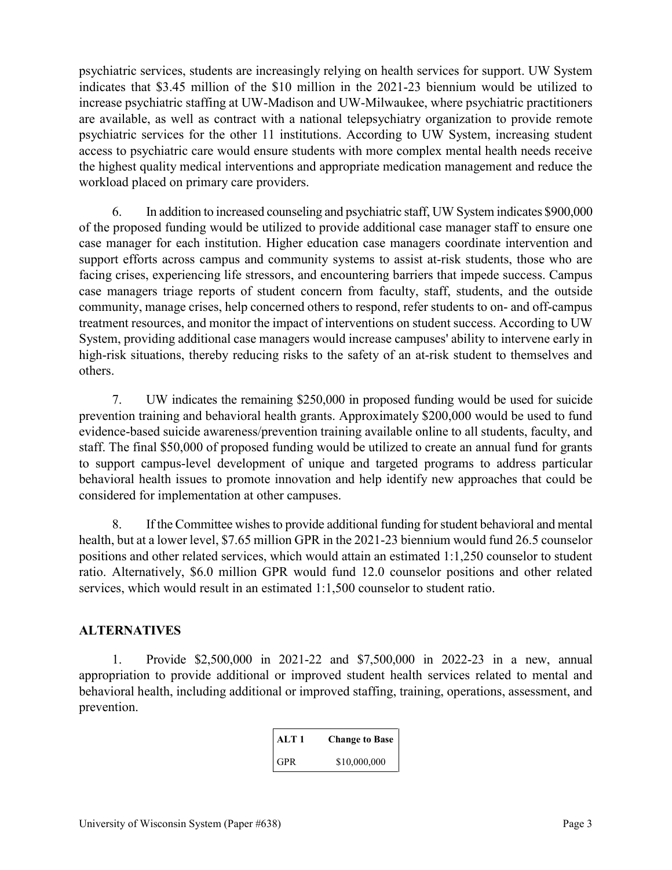psychiatric services, students are increasingly relying on health services for support. UW System indicates that \$3.45 million of the \$10 million in the 2021-23 biennium would be utilized to increase psychiatric staffing at UW-Madison and UW-Milwaukee, where psychiatric practitioners are available, as well as contract with a national telepsychiatry organization to provide remote psychiatric services for the other 11 institutions. According to UW System, increasing student access to psychiatric care would ensure students with more complex mental health needs receive the highest quality medical interventions and appropriate medication management and reduce the workload placed on primary care providers.

6. In addition to increased counseling and psychiatric staff, UW System indicates \$900,000 of the proposed funding would be utilized to provide additional case manager staff to ensure one case manager for each institution. Higher education case managers coordinate intervention and support efforts across campus and community systems to assist at-risk students, those who are facing crises, experiencing life stressors, and encountering barriers that impede success. Campus case managers triage reports of student concern from faculty, staff, students, and the outside community, manage crises, help concerned others to respond, refer students to on- and off-campus treatment resources, and monitor the impact of interventions on student success. According to UW System, providing additional case managers would increase campuses' ability to intervene early in high-risk situations, thereby reducing risks to the safety of an at-risk student to themselves and others.

7. UW indicates the remaining \$250,000 in proposed funding would be used for suicide prevention training and behavioral health grants. Approximately \$200,000 would be used to fund evidence-based suicide awareness/prevention training available online to all students, faculty, and staff. The final \$50,000 of proposed funding would be utilized to create an annual fund for grants to support campus-level development of unique and targeted programs to address particular behavioral health issues to promote innovation and help identify new approaches that could be considered for implementation at other campuses.

8. If the Committee wishes to provide additional funding for student behavioral and mental health, but at a lower level, \$7.65 million GPR in the 2021-23 biennium would fund 26.5 counselor positions and other related services, which would attain an estimated 1:1,250 counselor to student ratio. Alternatively, \$6.0 million GPR would fund 12.0 counselor positions and other related services, which would result in an estimated 1:1,500 counselor to student ratio.

### **ALTERNATIVES**

1. Provide \$2,500,000 in 2021-22 and \$7,500,000 in 2022-23 in a new, annual appropriation to provide additional or improved student health services related to mental and behavioral health, including additional or improved staffing, training, operations, assessment, and prevention.

| ALT 1      | <b>Change to Base</b> |
|------------|-----------------------|
| <b>GPR</b> | \$10,000,000          |